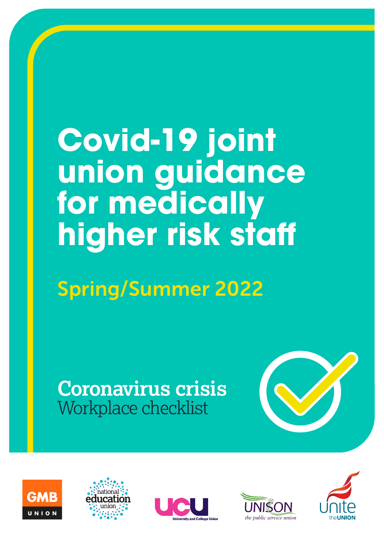# **Covid-19 joint union guidance for medically higher risk staff**

## Spring/Summer 2022

### **Coronavirus crisis** Workplace checklist











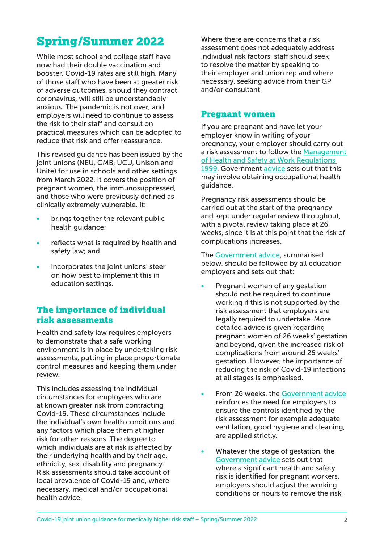#### Spring/Summer 2022

While most school and college staff have now had their double vaccination and booster, Covid-19 rates are still high. Many of those staff who have been at greater risk of adverse outcomes, should they contract coronavirus, will still be understandably anxious. The pandemic is not over, and employers will need to continue to assess the risk to their staff and consult on practical measures which can be adopted to reduce that risk and offer reassurance.

This revised guidance has been issued by the joint unions (NEU, GMB, UCU, Unison and Unite) for use in schools and other settings from March 2022. It covers the position of pregnant women, the immunosuppressed, and those who were previously defined as clinically extremely vulnerable. It:

- brings together the relevant public health guidance;
- reflects what is required by health and safety law; and
- incorporates the joint unions' steer on how best to implement this in education settings.

#### The importance of individual risk assessments

Health and safety law requires employers to demonstrate that a safe working environment is in place by undertaking risk assessments, putting in place proportionate control measures and keeping them under review.

This includes assessing the individual circumstances for employees who are at known greater risk from contracting Covid-19. These circumstances include the individual's own health conditions and any factors which place them at higher risk for other reasons. The degree to which individuals are at risk is affected by their underlying health and by their age, ethnicity, sex, disability and pregnancy. Risk assessments should take account of local prevalence of Covid-19 and, where necessary, medical and/or occupational health advice.

Where there are concerns that a risk assessment does not adequately address individual risk factors, staff should seek to resolve the matter by speaking to their employer and union rep and where necessary, seeking advice from their GP and/or consultant.

#### Pregnant women

If you are pregnant and have let your employer know in writing of your pregnancy, your employer should carry out a risk assessment to follow the [Management](https://www.legislation.gov.uk/uksi/1999/3242/contents)  [of Health and Safety at Work Regulations](https://www.legislation.gov.uk/uksi/1999/3242/contents)  [1999.](https://www.legislation.gov.uk/uksi/1999/3242/contents) Government [advice](https://www.gov.uk/government/publications/coronavirus-covid-19-advice-for-pregnant-employees/coronavirus-covid-19-advice-for-pregnant-employees) sets out that this may involve obtaining occupational health guidance.

Pregnancy risk assessments should be carried out at the start of the pregnancy and kept under regular review throughout, with a pivotal review taking place at 26 weeks, since it is at this point that the risk of complications increases.

The [Government advice,](https://www.gov.uk/government/publications/coronavirus-covid-19-advice-for-pregnant-employees/coronavirus-covid-19-advice-for-pregnant-employees) summarised below, should be followed by all education employers and sets out that:

- Pregnant women of any gestation should not be required to continue working if this is not supported by the risk assessment that employers are legally required to undertake. More detailed advice is given regarding pregnant women of 26 weeks' gestation and beyond, given the increased risk of complications from around 26 weeks' gestation. However, the importance of reducing the risk of Covid-19 infections at all stages is emphasised.
- From 26 weeks, the [Government advice](https://www.gov.uk/government/publications/coronavirus-covid-19-advice-for-pregnant-employees/coronavirus-covid-19-advice-for-pregnant-employees) reinforces the need for employers to ensure the controls identified by the risk assessment for example adequate ventilation, good hygiene and cleaning, are applied strictly.
- Whatever the stage of gestation, the [Government advice](https://www.gov.uk/government/publications/coronavirus-covid-19-advice-for-pregnant-employees/coronavirus-covid-19-advice-for-pregnant-employees) sets out that where a significant health and safety risk is identified for pregnant workers, employers should adjust the working conditions or hours to remove the risk,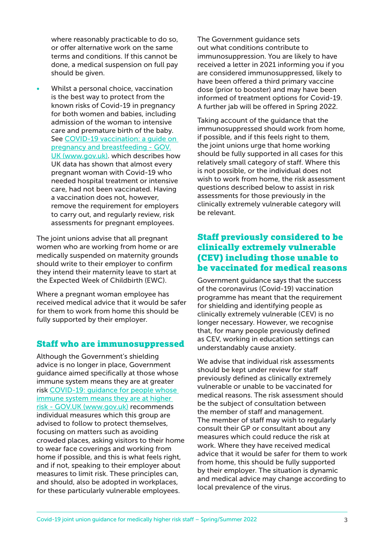where reasonably practicable to do so, or offer alternative work on the same terms and conditions. If this cannot be done, a medical suspension on full pay should be given.

Whilst a personal choice, vaccination is the best way to protect from the known risks of Covid-19 in pregnancy for both women and babies, including admission of the woman to intensive care and premature birth of the baby. See [COVID-19 vaccination: a guide on](https://www.gov.uk/government/publications/covid-19-vaccination-women-of-childbearing-age-currently-pregnant-planning-a-pregnancy-or-breastfeeding/covid-19-vaccination-a-guide-for-women-of-childbearing-age-pregnant-planning-a-pregnancy-or-breastfeeding)  [pregnancy and breastfeeding - GOV.](https://www.gov.uk/government/publications/covid-19-vaccination-women-of-childbearing-age-currently-pregnant-planning-a-pregnancy-or-breastfeeding/covid-19-vaccination-a-guide-for-women-of-childbearing-age-pregnant-planning-a-pregnancy-or-breastfeeding) [UK \(www.gov.uk\)](https://www.gov.uk/government/publications/covid-19-vaccination-women-of-childbearing-age-currently-pregnant-planning-a-pregnancy-or-breastfeeding/covid-19-vaccination-a-guide-for-women-of-childbearing-age-pregnant-planning-a-pregnancy-or-breastfeeding). which describes how UK data has shown that almost every pregnant woman with Covid-19 who needed hospital treatment or intensive care, had not been vaccinated. Having a vaccination does not, however, remove the requirement for employers to carry out, and regularly review, risk assessments for pregnant employees.

The joint unions advise that all pregnant women who are working from home or are medically suspended on maternity grounds should write to their employer to confirm they intend their maternity leave to start at the Expected Week of Childbirth (EWC).

Where a pregnant woman employee has received medical advice that it would be safer for them to work from home this should be fully supported by their employer.

#### Staff who are immunosuppressed

Although the Government's shielding advice is no longer in place, Government guidance aimed specifically at those whose immune system means they are at greater risk [COVID-19: guidance for people whose](https://www.gov.uk/government/publications/covid-19-guidance-for-people-whose-immune-system-means-they-are-at-higher-risk/covid-19-guidance-for-people-whose-immune-system-means-they-are-at-higher-risk)  [immune system means they are at higher](https://www.gov.uk/government/publications/covid-19-guidance-for-people-whose-immune-system-means-they-are-at-higher-risk/covid-19-guidance-for-people-whose-immune-system-means-they-are-at-higher-risk)  [risk - GOV.UK \(www.gov.uk\)](https://www.gov.uk/government/publications/covid-19-guidance-for-people-whose-immune-system-means-they-are-at-higher-risk/covid-19-guidance-for-people-whose-immune-system-means-they-are-at-higher-risk) recommends individual measures which this group are advised to follow to protect themselves, focusing on matters such as avoiding crowded places, asking visitors to their home to wear face coverings and working from home if possible, and this is what feels right, and if not, speaking to their employer about measures to limit risk. These principles can, and should, also be adopted in workplaces, for these particularly vulnerable employees.

The Government guidance sets out what conditions contribute to immunosuppression. You are likely to have received a letter in 2021 informing you if you are considered immunosuppressed, likely to have been offered a third primary vaccine dose (prior to booster) and may have been informed of treatment options for Covid-19. A further jab will be offered in Spring 2022.

Taking account of the guidance that the immunosuppressed should work from home, if possible, and if this feels right to them, the joint unions urge that home working should be fully supported in all cases for this relatively small category of staff. Where this is not possible, or the individual does not wish to work from home, the risk assessment questions described below to assist in risk assessments for those previously in the clinically extremely vulnerable category will be relevant.

#### Staff previously considered to be clinically extremely vulnerable (CEV) including those unable to be vaccinated for medical reasons

Government guidance says that the success of the coronavirus (Covid-19) vaccination programme has meant that the requirement for shielding and identifying people as clinically extremely vulnerable (CEV) is no longer necessary. However, we recognise that, for many people previously defined as CEV, working in education settings can understandably cause anxiety.

We advise that individual risk assessments should be kept under review for staff previously defined as clinically extremely vulnerable or unable to be vaccinated for medical reasons. The risk assessment should be the subject of consultation between the member of staff and management. The member of staff may wish to regularly consult their GP or consultant about any measures which could reduce the risk at work. Where they have received medical advice that it would be safer for them to work from home, this should be fully supported by their employer. The situation is dynamic and medical advice may change according to local prevalence of the virus.